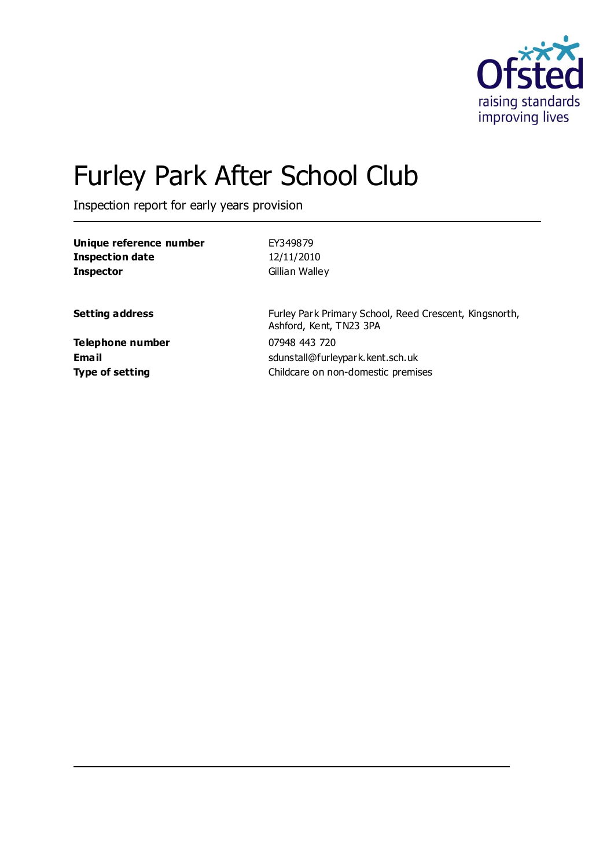

# Furley Park After School Club

Inspection report for early years provision

| Unique reference number   | EY349879                                                                          |
|---------------------------|-----------------------------------------------------------------------------------|
| <b>Inspection date</b>    | 12/11/2010                                                                        |
| <b>Inspector</b>          | Gillian Walley                                                                    |
| <b>Setting address</b>    | Furley Park Primary School, Reed Crescent, Kingsnorth,<br>Ashford, Kent, TN23 3PA |
| Telephone number<br>Email | 07948 443 720<br>sdunstall@furleypark.kent.sch.uk                                 |
| <b>Type of setting</b>    | Childcare on non-domestic premises                                                |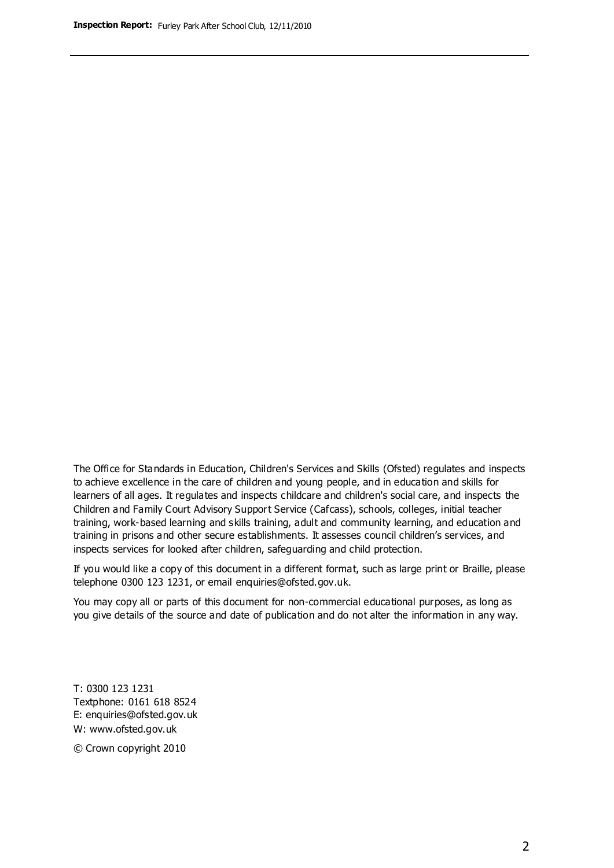The Office for Standards in Education, Children's Services and Skills (Ofsted) regulates and inspects to achieve excellence in the care of children and young people, and in education and skills for learners of all ages. It regulates and inspects childcare and children's social care, and inspects the Children and Family Court Advisory Support Service (Cafcass), schools, colleges, initial teacher training, work-based learning and skills training, adult and community learning, and education and training in prisons and other secure establishments. It assesses council children's services, and inspects services for looked after children, safeguarding and child protection.

If you would like a copy of this document in a different format, such as large print or Braille, please telephone 0300 123 1231, or email enquiries@ofsted.gov.uk.

You may copy all or parts of this document for non-commercial educational purposes, as long as you give details of the source and date of publication and do not alter the information in any way.

T: 0300 123 1231 Textphone: 0161 618 8524 E: enquiries@ofsted.gov.uk W: [www.ofsted.gov.uk](http://www.ofsted.gov.uk/)

© Crown copyright 2010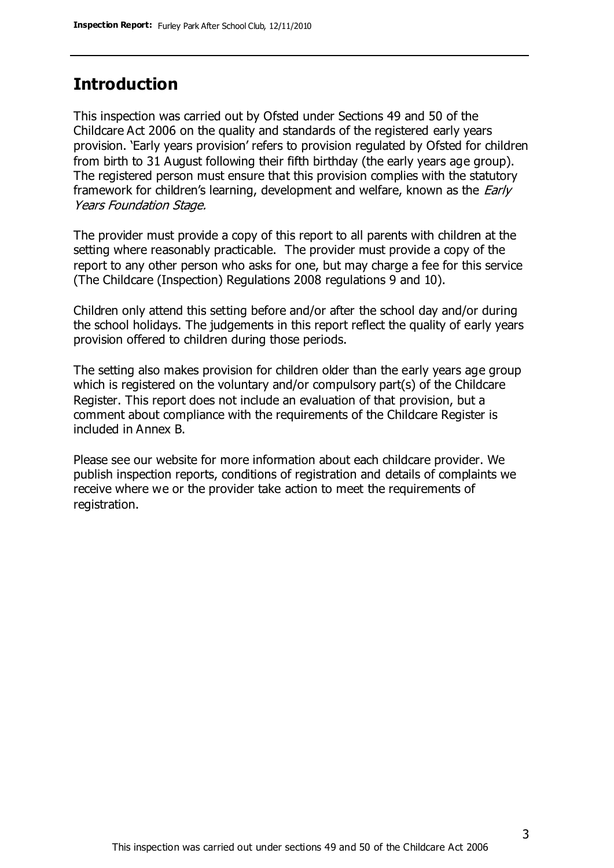# **Introduction**

This inspection was carried out by Ofsted under Sections 49 and 50 of the Childcare Act 2006 on the quality and standards of the registered early years provision. 'Early years provision' refers to provision regulated by Ofsted for children from birth to 31 August following their fifth birthday (the early years age group). The registered person must ensure that this provision complies with the statutory framework for children's learning, development and welfare, known as the *Early* Years Foundation Stage.

The provider must provide a copy of this report to all parents with children at the setting where reasonably practicable. The provider must provide a copy of the report to any other person who asks for one, but may charge a fee for this service (The Childcare (Inspection) Regulations 2008 regulations 9 and 10).

Children only attend this setting before and/or after the school day and/or during the school holidays. The judgements in this report reflect the quality of early years provision offered to children during those periods.

The setting also makes provision for children older than the early years age group which is registered on the voluntary and/or compulsory part(s) of the Childcare Register. This report does not include an evaluation of that provision, but a comment about compliance with the requirements of the Childcare Register is included in Annex B.

Please see our website for more information about each childcare provider. We publish inspection reports, conditions of registration and details of complaints we receive where we or the provider take action to meet the requirements of registration.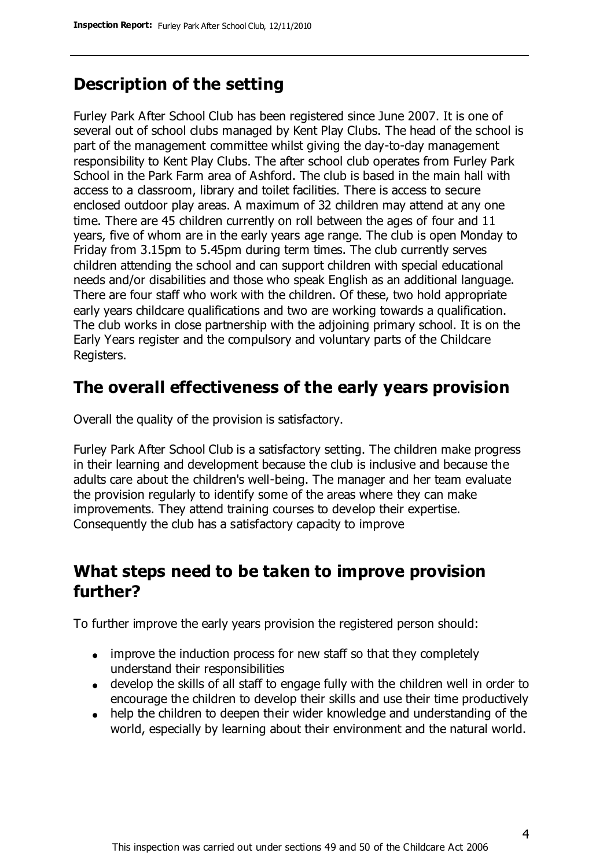# **Description of the setting**

Furley Park After School Club has been registered since June 2007. It is one of several out of school clubs managed by Kent Play Clubs. The head of the school is part of the management committee whilst giving the day-to-day management responsibility to Kent Play Clubs. The after school club operates from Furley Park School in the Park Farm area of Ashford. The club is based in the main hall with access to a classroom, library and toilet facilities. There is access to secure enclosed outdoor play areas. A maximum of 32 children may attend at any one time. There are 45 children currently on roll between the ages of four and 11 years, five of whom are in the early years age range. The club is open Monday to Friday from 3.15pm to 5.45pm during term times. The club currently serves children attending the school and can support children with special educational needs and/or disabilities and those who speak English as an additional language. There are four staff who work with the children. Of these, two hold appropriate early years childcare qualifications and two are working towards a qualification. The club works in close partnership with the adjoining primary school. It is on the Early Years register and the compulsory and voluntary parts of the Childcare Registers.

## **The overall effectiveness of the early years provision**

Overall the quality of the provision is satisfactory.

Furley Park After School Club is a satisfactory setting. The children make progress in their learning and development because the club is inclusive and because the adults care about the children's well-being. The manager and her team evaluate the provision regularly to identify some of the areas where they can make improvements. They attend training courses to develop their expertise. Consequently the club has a satisfactory capacity to improve

## **What steps need to be taken to improve provision further?**

To further improve the early years provision the registered person should:

- improve the induction process for new staff so that they completely understand their responsibilities
- develop the skills of all staff to engage fully with the children well in order to encourage the children to develop their skills and use their time productively
- help the children to deepen their wider knowledge and understanding of the world, especially by learning about their environment and the natural world.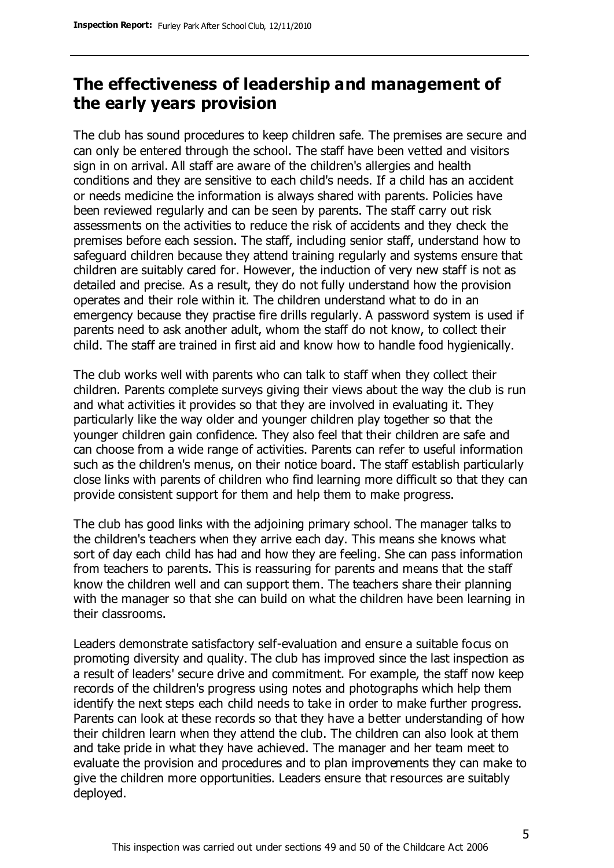# **The effectiveness of leadership and management of the early years provision**

The club has sound procedures to keep children safe. The premises are secure and can only be entered through the school. The staff have been vetted and visitors sign in on arrival. All staff are aware of the children's allergies and health conditions and they are sensitive to each child's needs. If a child has an accident or needs medicine the information is always shared with parents. Policies have been reviewed regularly and can be seen by parents. The staff carry out risk assessments on the activities to reduce the risk of accidents and they check the premises before each session. The staff, including senior staff, understand how to safeguard children because they attend training regularly and systems ensure that children are suitably cared for. However, the induction of very new staff is not as detailed and precise. As a result, they do not fully understand how the provision operates and their role within it. The children understand what to do in an emergency because they practise fire drills regularly. A password system is used if parents need to ask another adult, whom the staff do not know, to collect their child. The staff are trained in first aid and know how to handle food hygienically.

The club works well with parents who can talk to staff when they collect their children. Parents complete surveys giving their views about the way the club is run and what activities it provides so that they are involved in evaluating it. They particularly like the way older and younger children play together so that the younger children gain confidence. They also feel that their children are safe and can choose from a wide range of activities. Parents can refer to useful information such as the children's menus, on their notice board. The staff establish particularly close links with parents of children who find learning more difficult so that they can provide consistent support for them and help them to make progress.

The club has good links with the adjoining primary school. The manager talks to the children's teachers when they arrive each day. This means she knows what sort of day each child has had and how they are feeling. She can pass information from teachers to parents. This is reassuring for parents and means that the staff know the children well and can support them. The teachers share their planning with the manager so that she can build on what the children have been learning in their classrooms.

Leaders demonstrate satisfactory self-evaluation and ensure a suitable focus on promoting diversity and quality. The club has improved since the last inspection as a result of leaders' secure drive and commitment. For example, the staff now keep records of the children's progress using notes and photographs which help them identify the next steps each child needs to take in order to make further progress. Parents can look at these records so that they have a better understanding of how their children learn when they attend the club. The children can also look at them and take pride in what they have achieved. The manager and her team meet to evaluate the provision and procedures and to plan improvements they can make to give the children more opportunities. Leaders ensure that resources are suitably deployed.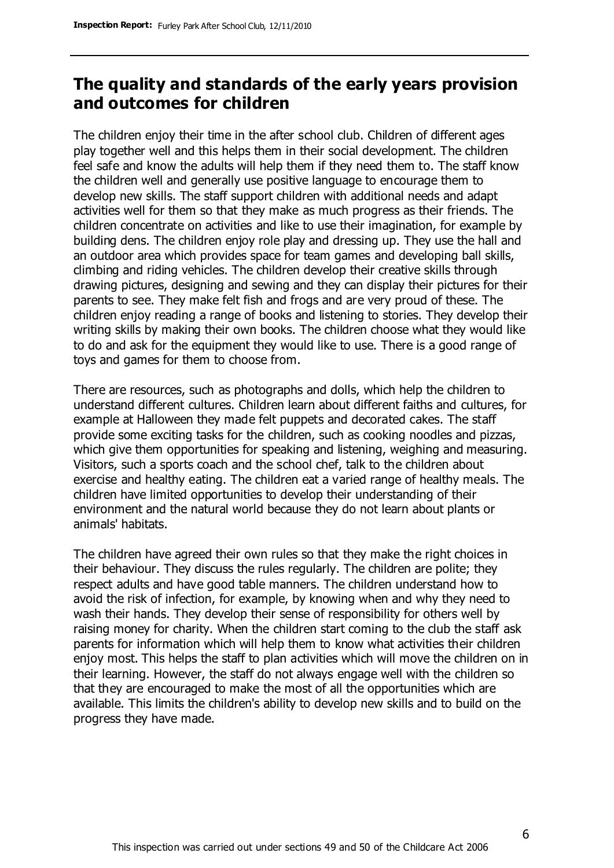## **The quality and standards of the early years provision and outcomes for children**

The children enjoy their time in the after school club. Children of different ages play together well and this helps them in their social development. The children feel safe and know the adults will help them if they need them to. The staff know the children well and generally use positive language to encourage them to develop new skills. The staff support children with additional needs and adapt activities well for them so that they make as much progress as their friends. The children concentrate on activities and like to use their imagination, for example by building dens. The children enjoy role play and dressing up. They use the hall and an outdoor area which provides space for team games and developing ball skills, climbing and riding vehicles. The children develop their creative skills through drawing pictures, designing and sewing and they can display their pictures for their parents to see. They make felt fish and frogs and are very proud of these. The children enjoy reading a range of books and listening to stories. They develop their writing skills by making their own books. The children choose what they would like to do and ask for the equipment they would like to use. There is a good range of toys and games for them to choose from.

There are resources, such as photographs and dolls, which help the children to understand different cultures. Children learn about different faiths and cultures, for example at Halloween they made felt puppets and decorated cakes. The staff provide some exciting tasks for the children, such as cooking noodles and pizzas, which give them opportunities for speaking and listening, weighing and measuring. Visitors, such a sports coach and the school chef, talk to the children about exercise and healthy eating. The children eat a varied range of healthy meals. The children have limited opportunities to develop their understanding of their environment and the natural world because they do not learn about plants or animals' habitats.

The children have agreed their own rules so that they make the right choices in their behaviour. They discuss the rules regularly. The children are polite; they respect adults and have good table manners. The children understand how to avoid the risk of infection, for example, by knowing when and why they need to wash their hands. They develop their sense of responsibility for others well by raising money for charity. When the children start coming to the club the staff ask parents for information which will help them to know what activities their children enjoy most. This helps the staff to plan activities which will move the children on in their learning. However, the staff do not always engage well with the children so that they are encouraged to make the most of all the opportunities which are available. This limits the children's ability to develop new skills and to build on the progress they have made.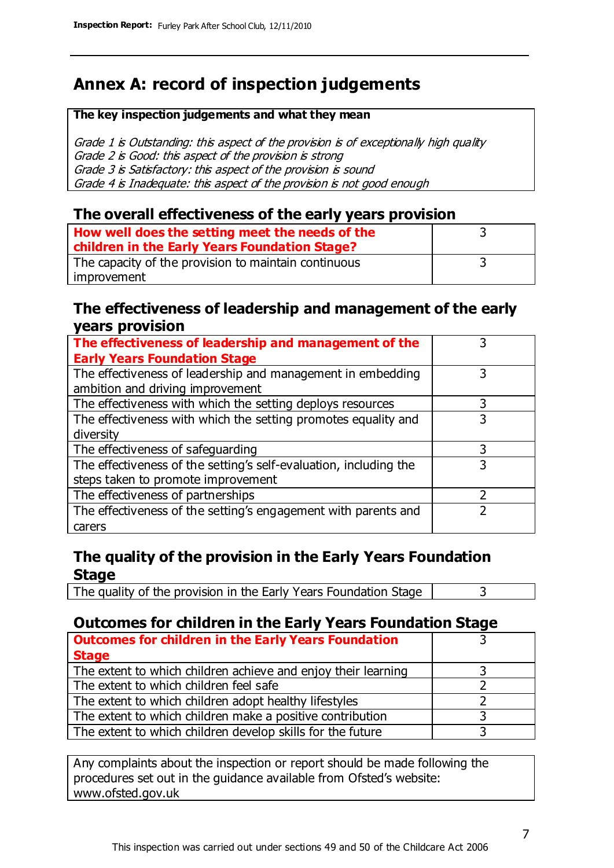# **Annex A: record of inspection judgements**

#### **The key inspection judgements and what they mean**

Grade 1 is Outstanding: this aspect of the provision is of exceptionally high quality Grade 2 is Good: this aspect of the provision is strong Grade 3 is Satisfactory: this aspect of the provision is sound Grade 4 is Inadequate: this aspect of the provision is not good enough

### **The overall effectiveness of the early years provision**

| How well does the setting meet the needs of the<br>children in the Early Years Foundation Stage? |  |
|--------------------------------------------------------------------------------------------------|--|
| The capacity of the provision to maintain continuous                                             |  |
| improvement                                                                                      |  |

#### **The effectiveness of leadership and management of the early years provision**

| The effectiveness of leadership and management of the             |   |
|-------------------------------------------------------------------|---|
| <b>Early Years Foundation Stage</b>                               |   |
| The effectiveness of leadership and management in embedding       |   |
| ambition and driving improvement                                  |   |
| The effectiveness with which the setting deploys resources        | 3 |
| The effectiveness with which the setting promotes equality and    | 3 |
| diversity                                                         |   |
| The effectiveness of safeguarding                                 |   |
| The effectiveness of the setting's self-evaluation, including the | 3 |
| steps taken to promote improvement                                |   |
| The effectiveness of partnerships                                 |   |
| The effectiveness of the setting's engagement with parents and    |   |
| carers                                                            |   |

## **The quality of the provision in the Early Years Foundation Stage**

The quality of the provision in the Early Years Foundation Stage  $\vert$  3

## **Outcomes for children in the Early Years Foundation Stage**

| <b>Outcomes for children in the Early Years Foundation</b>    |  |
|---------------------------------------------------------------|--|
| <b>Stage</b>                                                  |  |
| The extent to which children achieve and enjoy their learning |  |
| The extent to which children feel safe                        |  |
| The extent to which children adopt healthy lifestyles         |  |
| The extent to which children make a positive contribution     |  |
| The extent to which children develop skills for the future    |  |

Any complaints about the inspection or report should be made following the procedures set out in the guidance available from Ofsted's website: www.ofsted.gov.uk